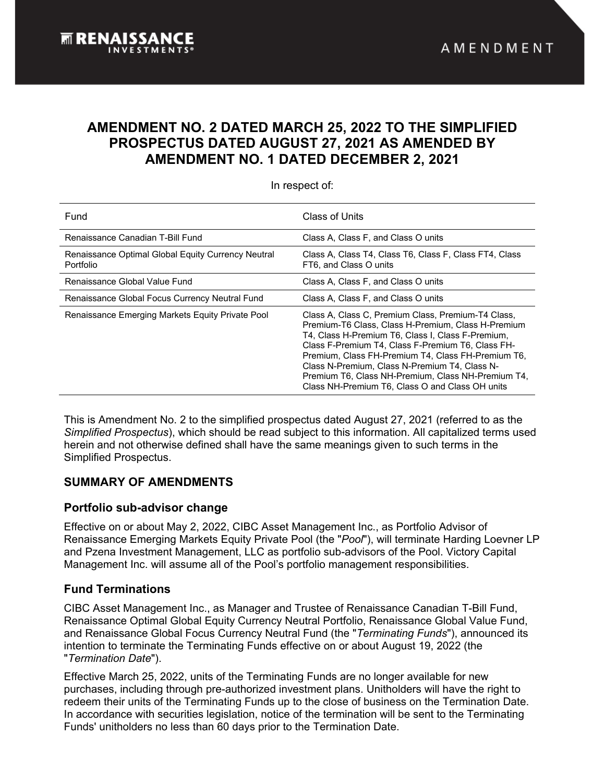# **AMENDMENT NO. 2 DATED MARCH 25, 2022 TO THE SIMPLIFIED PROSPECTUS DATED AUGUST 27, 2021 AS AMENDED BY AMENDMENT NO. 1 DATED DECEMBER 2, 2021**

In respect of:

| Fund                                                                   | Class of Units                                                                                                                                                                                                                                                                                                                                                                                                                     |
|------------------------------------------------------------------------|------------------------------------------------------------------------------------------------------------------------------------------------------------------------------------------------------------------------------------------------------------------------------------------------------------------------------------------------------------------------------------------------------------------------------------|
| Renaissance Canadian T-Bill Fund                                       | Class A, Class F, and Class O units                                                                                                                                                                                                                                                                                                                                                                                                |
| Renaissance Optimal Global Equity Currency Neutral<br><b>Portfolio</b> | Class A, Class T4, Class T6, Class F, Class FT4, Class<br>FT6, and Class O units                                                                                                                                                                                                                                                                                                                                                   |
| Renaissance Global Value Fund                                          | Class A, Class F, and Class O units                                                                                                                                                                                                                                                                                                                                                                                                |
| Renaissance Global Focus Currency Neutral Fund                         | Class A, Class F, and Class O units                                                                                                                                                                                                                                                                                                                                                                                                |
| Renaissance Emerging Markets Equity Private Pool                       | Class A, Class C, Premium Class, Premium-T4 Class,<br>Premium-T6 Class, Class H-Premium, Class H-Premium<br>T4, Class H-Premium T6, Class I, Class F-Premium,<br>Class F-Premium T4, Class F-Premium T6, Class FH-<br>Premium, Class FH-Premium T4, Class FH-Premium T6,<br>Class N-Premium, Class N-Premium T4, Class N-<br>Premium T6, Class NH-Premium, Class NH-Premium T4,<br>Class NH-Premium T6, Class O and Class OH units |

This is Amendment No. 2 to the simplified prospectus dated August 27, 2021 (referred to as the *Simplified Prospectus*), which should be read subject to this information. All capitalized terms used herein and not otherwise defined shall have the same meanings given to such terms in the Simplified Prospectus.

## **SUMMARY OF AMENDMENTS**

## **Portfolio sub-advisor change**

Effective on or about May 2, 2022, CIBC Asset Management Inc., as Portfolio Advisor of Renaissance Emerging Markets Equity Private Pool (the "*Pool*"), will terminate Harding Loevner LP and Pzena Investment Management, LLC as portfolio sub-advisors of the Pool. Victory Capital Management Inc. will assume all of the Pool's portfolio management responsibilities.

## **Fund Terminations**

CIBC Asset Management Inc., as Manager and Trustee of Renaissance Canadian T-Bill Fund, Renaissance Optimal Global Equity Currency Neutral Portfolio, Renaissance Global Value Fund, and Renaissance Global Focus Currency Neutral Fund (the "*Terminating Funds*"), announced its intention to terminate the Terminating Funds effective on or about August 19, 2022 (the "*Termination Date*").

Effective March 25, 2022, units of the Terminating Funds are no longer available for new purchases, including through pre-authorized investment plans. Unitholders will have the right to redeem their units of the Terminating Funds up to the close of business on the Termination Date. In accordance with securities legislation, notice of the termination will be sent to the Terminating Funds' unitholders no less than 60 days prior to the Termination Date.